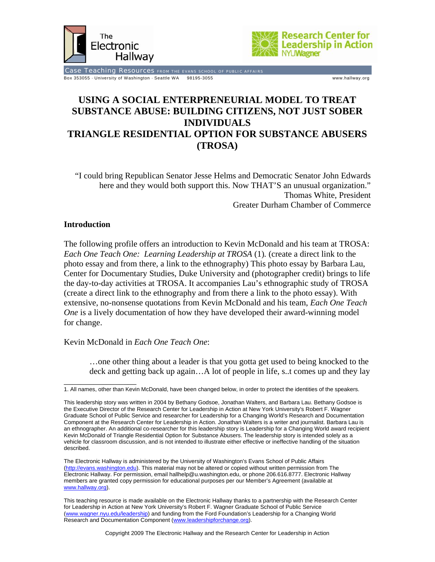



Case Teaching Resources FROM THE EVANS SCHOOL OF PUBLIC AFFAIRS Box 353055 · University of Washington · Seattle WA 98195-3055 www.hallway.org

# **USING A SOCIAL ENTERPRENEURIAL MODEL TO TREAT SUBSTANCE ABUSE: BUILDING CITIZENS, NOT JUST SOBER INDIVIDUALS TRIANGLE RESIDENTIAL OPTION FOR SUBSTANCE ABUSERS (TROSA)**

"I could bring Republican Senator Jesse Helms and Democratic Senator John Edwards here and they would both support this. Now THAT'S an unusual organization." Thomas White, President Greater Durham Chamber of Commerce

## **Introduction**

The following profile offers an introduction to Kevin McDonald and his team at TROSA: *Each One Teach One: Learning Leadership at TROSA* (1)*.* (create a direct link to the photo essay and from there, a link to the ethnography) This photo essay by Barbara Lau, Center for Documentary Studies, Duke University and (photographer credit) brings to life the day-to-day activities at TROSA. It accompanies Lau's ethnographic study of TROSA (create a direct link to the ethnography and from there a link to the photo essay). With extensive, no-nonsense quotations from Kevin McDonald and his team, *Each One Teach One* is a lively documentation of how they have developed their award-winning model for change.

## Kevin McDonald in *Each One Teach One*:

…one other thing about a leader is that you gotta get used to being knocked to the deck and getting back up again…A lot of people in life, s..t comes up and they lay

\_\_\_\_\_\_\_\_\_\_\_\_\_\_\_\_\_ 1. All names, other than Kevin McDonald, have been changed below, in order to protect the identities of the speakers.

This leadership story was written in 2004 by Bethany Godsoe, Jonathan Walters, and Barbara Lau. Bethany Godsoe is the Executive Director of the Research Center for Leadership in Action at New York University's Robert F. Wagner Graduate School of Public Service and researcher for Leadership for a Changing World's Research and Documentation Component at the Research Center for Leadership in Action. Jonathan Walters is a writer and journalist. Barbara Lau is an ethnographer. An additional co-researcher for this leadership story is Leadership for a Changing World award recipient Kevin McDonald of Triangle Residential Option for Substance Abusers. The leadership story is intended solely as a vehicle for classroom discussion, and is not intended to illustrate either effective or ineffective handling of the situation described.

The Electronic Hallway is administered by the University of Washington's Evans School of Public Affairs (http://evans.washington.edu). This material may not be altered or copied without written permission from The Electronic Hallway. For permission, email hallhelp@u.washington.edu, or phone 206.616.8777. Electronic Hallway members are granted copy permission for educational purposes per our Member's Agreement (available at www.hallway.org).

This teaching resource is made available on the Electronic Hallway thanks to a partnership with the Research Center for Leadership in Action at New York University's Robert F. Wagner Graduate School of Public Service (www.wagner.nyu.edu/leadership) and funding from the Ford Foundation's Leadership for a Changing World Research and Documentation Component (www.leadershipforchange.org).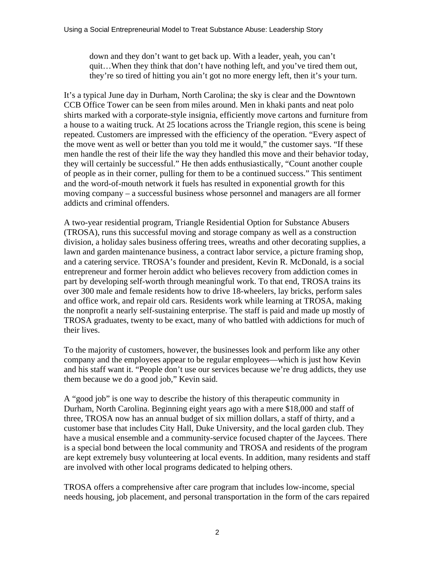down and they don't want to get back up. With a leader, yeah, you can't quit…When they think that don't have nothing left, and you've tired them out, they're so tired of hitting you ain't got no more energy left, then it's your turn.

It's a typical June day in Durham, North Carolina; the sky is clear and the Downtown CCB Office Tower can be seen from miles around. Men in khaki pants and neat polo shirts marked with a corporate-style insignia, efficiently move cartons and furniture from a house to a waiting truck. At 25 locations across the Triangle region, this scene is being repeated. Customers are impressed with the efficiency of the operation. "Every aspect of the move went as well or better than you told me it would," the customer says. "If these men handle the rest of their life the way they handled this move and their behavior today, they will certainly be successful." He then adds enthusiastically, "Count another couple of people as in their corner, pulling for them to be a continued success." This sentiment and the word-of-mouth network it fuels has resulted in exponential growth for this moving company – a successful business whose personnel and managers are all former addicts and criminal offenders.

A two-year residential program, Triangle Residential Option for Substance Abusers (TROSA), runs this successful moving and storage company as well as a construction division, a holiday sales business offering trees, wreaths and other decorating supplies, a lawn and garden maintenance business, a contract labor service, a picture framing shop, and a catering service. TROSA's founder and president, Kevin R. McDonald, is a social entrepreneur and former heroin addict who believes recovery from addiction comes in part by developing self-worth through meaningful work. To that end, TROSA trains its over 300 male and female residents how to drive 18-wheelers, lay bricks, perform sales and office work, and repair old cars. Residents work while learning at TROSA, making the nonprofit a nearly self-sustaining enterprise. The staff is paid and made up mostly of TROSA graduates, twenty to be exact, many of who battled with addictions for much of their lives.

To the majority of customers, however, the businesses look and perform like any other company and the employees appear to be regular employees—which is just how Kevin and his staff want it. "People don't use our services because we're drug addicts, they use them because we do a good job," Kevin said.

A "good job" is one way to describe the history of this therapeutic community in Durham, North Carolina. Beginning eight years ago with a mere \$18,000 and staff of three, TROSA now has an annual budget of six million dollars, a staff of thirty, and a customer base that includes City Hall, Duke University, and the local garden club. They have a musical ensemble and a community-service focused chapter of the Jaycees. There is a special bond between the local community and TROSA and residents of the program are kept extremely busy volunteering at local events. In addition, many residents and staff are involved with other local programs dedicated to helping others.

TROSA offers a comprehensive after care program that includes low-income, special needs housing, job placement, and personal transportation in the form of the cars repaired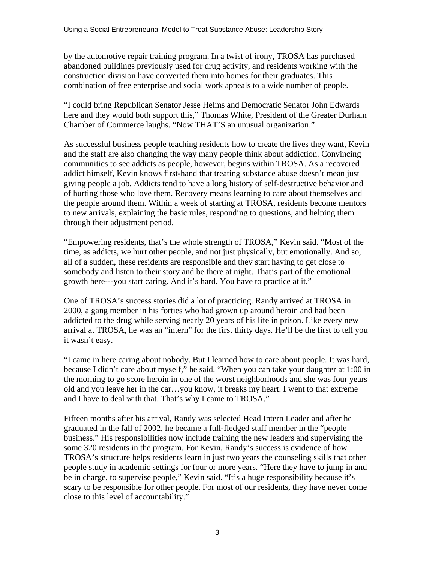by the automotive repair training program. In a twist of irony, TROSA has purchased abandoned buildings previously used for drug activity, and residents working with the construction division have converted them into homes for their graduates. This combination of free enterprise and social work appeals to a wide number of people.

"I could bring Republican Senator Jesse Helms and Democratic Senator John Edwards here and they would both support this," Thomas White, President of the Greater Durham Chamber of Commerce laughs. "Now THAT'S an unusual organization."

As successful business people teaching residents how to create the lives they want, Kevin and the staff are also changing the way many people think about addiction. Convincing communities to see addicts as people, however, begins within TROSA. As a recovered addict himself, Kevin knows first-hand that treating substance abuse doesn't mean just giving people a job. Addicts tend to have a long history of self-destructive behavior and of hurting those who love them. Recovery means learning to care about themselves and the people around them. Within a week of starting at TROSA, residents become mentors to new arrivals, explaining the basic rules, responding to questions, and helping them through their adjustment period.

"Empowering residents, that's the whole strength of TROSA," Kevin said. "Most of the time, as addicts, we hurt other people, and not just physically, but emotionally. And so, all of a sudden, these residents are responsible and they start having to get close to somebody and listen to their story and be there at night. That's part of the emotional growth here---you start caring. And it's hard. You have to practice at it."

One of TROSA's success stories did a lot of practicing. Randy arrived at TROSA in 2000, a gang member in his forties who had grown up around heroin and had been addicted to the drug while serving nearly 20 years of his life in prison. Like every new arrival at TROSA, he was an "intern" for the first thirty days. He'll be the first to tell you it wasn't easy.

"I came in here caring about nobody. But I learned how to care about people. It was hard, because I didn't care about myself," he said. "When you can take your daughter at 1:00 in the morning to go score heroin in one of the worst neighborhoods and she was four years old and you leave her in the car…you know, it breaks my heart. I went to that extreme and I have to deal with that. That's why I came to TROSA."

Fifteen months after his arrival, Randy was selected Head Intern Leader and after he graduated in the fall of 2002, he became a full-fledged staff member in the "people business." His responsibilities now include training the new leaders and supervising the some 320 residents in the program. For Kevin, Randy's success is evidence of how TROSA's structure helps residents learn in just two years the counseling skills that other people study in academic settings for four or more years. "Here they have to jump in and be in charge, to supervise people," Kevin said. "It's a huge responsibility because it's scary to be responsible for other people. For most of our residents, they have never come close to this level of accountability."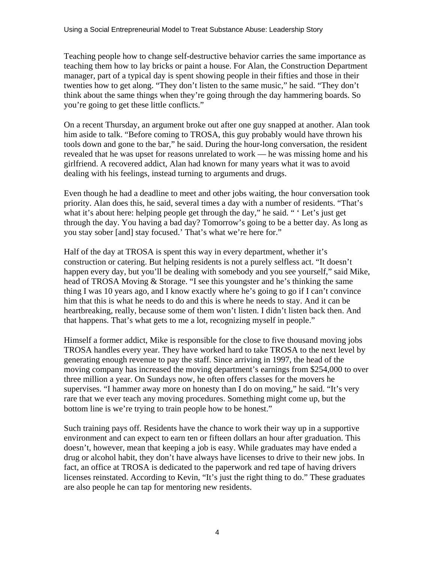Teaching people how to change self-destructive behavior carries the same importance as teaching them how to lay bricks or paint a house. For Alan, the Construction Department manager, part of a typical day is spent showing people in their fifties and those in their twenties how to get along. "They don't listen to the same music," he said. "They don't think about the same things when they're going through the day hammering boards. So you're going to get these little conflicts."

On a recent Thursday, an argument broke out after one guy snapped at another. Alan took him aside to talk. "Before coming to TROSA, this guy probably would have thrown his tools down and gone to the bar," he said. During the hour-long conversation, the resident revealed that he was upset for reasons unrelated to work — he was missing home and his girlfriend. A recovered addict, Alan had known for many years what it was to avoid dealing with his feelings, instead turning to arguments and drugs.

Even though he had a deadline to meet and other jobs waiting, the hour conversation took priority. Alan does this, he said, several times a day with a number of residents. "That's what it's about here: helping people get through the day," he said. " 'Let's just get through the day. You having a bad day? Tomorrow's going to be a better day. As long as you stay sober [and] stay focused.' That's what we're here for."

Half of the day at TROSA is spent this way in every department, whether it's construction or catering. But helping residents is not a purely selfless act. "It doesn't happen every day, but you'll be dealing with somebody and you see yourself," said Mike, head of TROSA Moving & Storage. "I see this youngster and he's thinking the same thing I was 10 years ago, and I know exactly where he's going to go if I can't convince him that this is what he needs to do and this is where he needs to stay. And it can be heartbreaking, really, because some of them won't listen. I didn't listen back then. And that happens. That's what gets to me a lot, recognizing myself in people."

Himself a former addict, Mike is responsible for the close to five thousand moving jobs TROSA handles every year. They have worked hard to take TROSA to the next level by generating enough revenue to pay the staff. Since arriving in 1997, the head of the moving company has increased the moving department's earnings from \$254,000 to over three million a year. On Sundays now, he often offers classes for the movers he supervises. "I hammer away more on honesty than I do on moving," he said. "It's very rare that we ever teach any moving procedures. Something might come up, but the bottom line is we're trying to train people how to be honest."

Such training pays off. Residents have the chance to work their way up in a supportive environment and can expect to earn ten or fifteen dollars an hour after graduation. This doesn't, however, mean that keeping a job is easy. While graduates may have ended a drug or alcohol habit, they don't have always have licenses to drive to their new jobs. In fact, an office at TROSA is dedicated to the paperwork and red tape of having drivers licenses reinstated. According to Kevin, "It's just the right thing to do." These graduates are also people he can tap for mentoring new residents.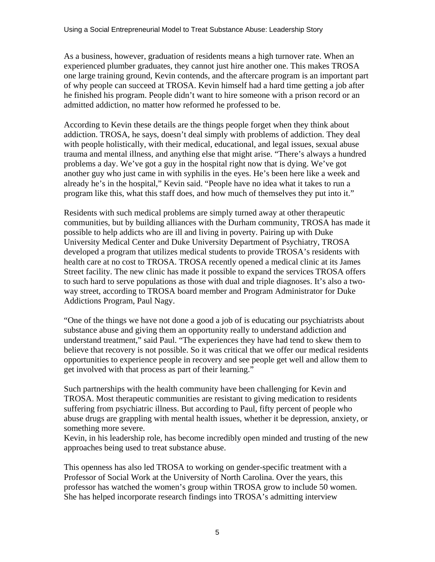As a business, however, graduation of residents means a high turnover rate. When an experienced plumber graduates, they cannot just hire another one. This makes TROSA one large training ground, Kevin contends, and the aftercare program is an important part of why people can succeed at TROSA. Kevin himself had a hard time getting a job after he finished his program. People didn't want to hire someone with a prison record or an admitted addiction, no matter how reformed he professed to be.

According to Kevin these details are the things people forget when they think about addiction. TROSA, he says, doesn't deal simply with problems of addiction. They deal with people holistically, with their medical, educational, and legal issues, sexual abuse trauma and mental illness, and anything else that might arise. "There's always a hundred problems a day. We've got a guy in the hospital right now that is dying. We've got another guy who just came in with syphilis in the eyes. He's been here like a week and already he's in the hospital," Kevin said. "People have no idea what it takes to run a program like this, what this staff does, and how much of themselves they put into it."

Residents with such medical problems are simply turned away at other therapeutic communities, but by building alliances with the Durham community, TROSA has made it possible to help addicts who are ill and living in poverty. Pairing up with Duke University Medical Center and Duke University Department of Psychiatry, TROSA developed a program that utilizes medical students to provide TROSA's residents with health care at no cost to TROSA. TROSA recently opened a medical clinic at its James Street facility. The new clinic has made it possible to expand the services TROSA offers to such hard to serve populations as those with dual and triple diagnoses. It's also a twoway street, according to TROSA board member and Program Administrator for Duke Addictions Program, Paul Nagy.

"One of the things we have not done a good a job of is educating our psychiatrists about substance abuse and giving them an opportunity really to understand addiction and understand treatment," said Paul. "The experiences they have had tend to skew them to believe that recovery is not possible. So it was critical that we offer our medical residents opportunities to experience people in recovery and see people get well and allow them to get involved with that process as part of their learning."

Such partnerships with the health community have been challenging for Kevin and TROSA. Most therapeutic communities are resistant to giving medication to residents suffering from psychiatric illness. But according to Paul, fifty percent of people who abuse drugs are grappling with mental health issues, whether it be depression, anxiety, or something more severe.

Kevin, in his leadership role, has become incredibly open minded and trusting of the new approaches being used to treat substance abuse.

This openness has also led TROSA to working on gender-specific treatment with a Professor of Social Work at the University of North Carolina. Over the years, this professor has watched the women's group within TROSA grow to include 50 women. She has helped incorporate research findings into TROSA's admitting interview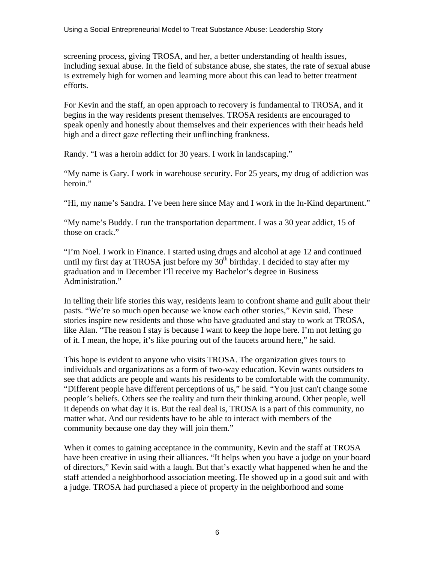screening process, giving TROSA, and her, a better understanding of health issues, including sexual abuse. In the field of substance abuse, she states, the rate of sexual abuse is extremely high for women and learning more about this can lead to better treatment efforts.

For Kevin and the staff, an open approach to recovery is fundamental to TROSA, and it begins in the way residents present themselves. TROSA residents are encouraged to speak openly and honestly about themselves and their experiences with their heads held high and a direct gaze reflecting their unflinching frankness.

Randy. "I was a heroin addict for 30 years. I work in landscaping."

"My name is Gary. I work in warehouse security. For 25 years, my drug of addiction was heroin."

"Hi, my name's Sandra. I've been here since May and I work in the In-Kind department."

"My name's Buddy. I run the transportation department. I was a 30 year addict, 15 of those on crack."

"I'm Noel. I work in Finance. I started using drugs and alcohol at age 12 and continued until my first day at TROSA just before my  $30<sup>th</sup>$  birthday. I decided to stay after my graduation and in December I'll receive my Bachelor's degree in Business Administration."

In telling their life stories this way, residents learn to confront shame and guilt about their pasts. "We're so much open because we know each other stories," Kevin said. These stories inspire new residents and those who have graduated and stay to work at TROSA, like Alan. "The reason I stay is because I want to keep the hope here. I'm not letting go of it. I mean, the hope, it's like pouring out of the faucets around here," he said.

This hope is evident to anyone who visits TROSA. The organization gives tours to individuals and organizations as a form of two-way education. Kevin wants outsiders to see that addicts are people and wants his residents to be comfortable with the community. "Different people have different perceptions of us," he said. "You just can't change some people's beliefs. Others see the reality and turn their thinking around. Other people, well it depends on what day it is. But the real deal is, TROSA is a part of this community, no matter what. And our residents have to be able to interact with members of the community because one day they will join them."

When it comes to gaining acceptance in the community, Kevin and the staff at TROSA have been creative in using their alliances. "It helps when you have a judge on your board of directors," Kevin said with a laugh. But that's exactly what happened when he and the staff attended a neighborhood association meeting. He showed up in a good suit and with a judge. TROSA had purchased a piece of property in the neighborhood and some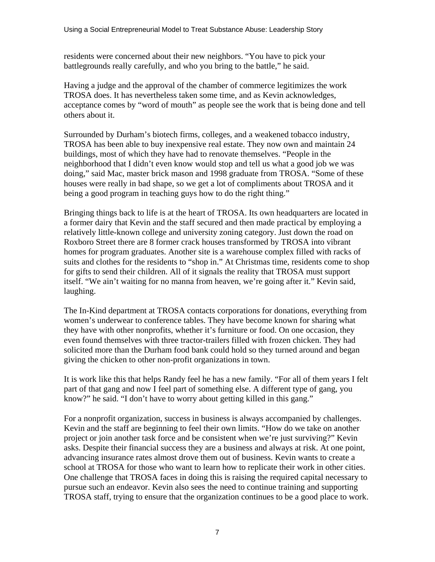residents were concerned about their new neighbors. "You have to pick your battlegrounds really carefully, and who you bring to the battle," he said.

Having a judge and the approval of the chamber of commerce legitimizes the work TROSA does. It has nevertheless taken some time, and as Kevin acknowledges, acceptance comes by "word of mouth" as people see the work that is being done and tell others about it.

Surrounded by Durham's biotech firms, colleges, and a weakened tobacco industry, TROSA has been able to buy inexpensive real estate. They now own and maintain 24 buildings, most of which they have had to renovate themselves. "People in the neighborhood that I didn't even know would stop and tell us what a good job we was doing," said Mac, master brick mason and 1998 graduate from TROSA. "Some of these houses were really in bad shape, so we get a lot of compliments about TROSA and it being a good program in teaching guys how to do the right thing."

Bringing things back to life is at the heart of TROSA. Its own headquarters are located in a former dairy that Kevin and the staff secured and then made practical by employing a relatively little-known college and university zoning category. Just down the road on Roxboro Street there are 8 former crack houses transformed by TROSA into vibrant homes for program graduates. Another site is a warehouse complex filled with racks of suits and clothes for the residents to "shop in." At Christmas time, residents come to shop for gifts to send their children. All of it signals the reality that TROSA must support itself. "We ain't waiting for no manna from heaven, we're going after it." Kevin said, laughing.

The In-Kind department at TROSA contacts corporations for donations, everything from women's underwear to conference tables. They have become known for sharing what they have with other nonprofits, whether it's furniture or food. On one occasion, they even found themselves with three tractor-trailers filled with frozen chicken. They had solicited more than the Durham food bank could hold so they turned around and began giving the chicken to other non-profit organizations in town.

It is work like this that helps Randy feel he has a new family. "For all of them years I felt part of that gang and now I feel part of something else. A different type of gang, you know?" he said. "I don't have to worry about getting killed in this gang."

For a nonprofit organization, success in business is always accompanied by challenges. Kevin and the staff are beginning to feel their own limits. "How do we take on another project or join another task force and be consistent when we're just surviving?" Kevin asks. Despite their financial success they are a business and always at risk. At one point, advancing insurance rates almost drove them out of business. Kevin wants to create a school at TROSA for those who want to learn how to replicate their work in other cities. One challenge that TROSA faces in doing this is raising the required capital necessary to pursue such an endeavor. Kevin also sees the need to continue training and supporting TROSA staff, trying to ensure that the organization continues to be a good place to work.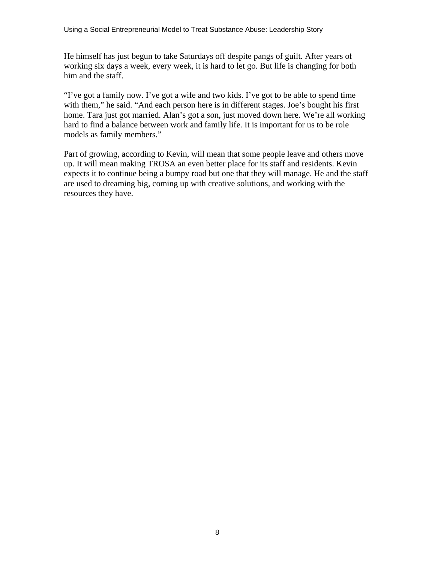He himself has just begun to take Saturdays off despite pangs of guilt. After years of working six days a week, every week, it is hard to let go. But life is changing for both him and the staff.

"I've got a family now. I've got a wife and two kids. I've got to be able to spend time with them," he said. "And each person here is in different stages. Joe's bought his first home. Tara just got married. Alan's got a son, just moved down here. We're all working hard to find a balance between work and family life. It is important for us to be role models as family members."

Part of growing, according to Kevin, will mean that some people leave and others move up. It will mean making TROSA an even better place for its staff and residents. Kevin expects it to continue being a bumpy road but one that they will manage. He and the staff are used to dreaming big, coming up with creative solutions, and working with the resources they have.